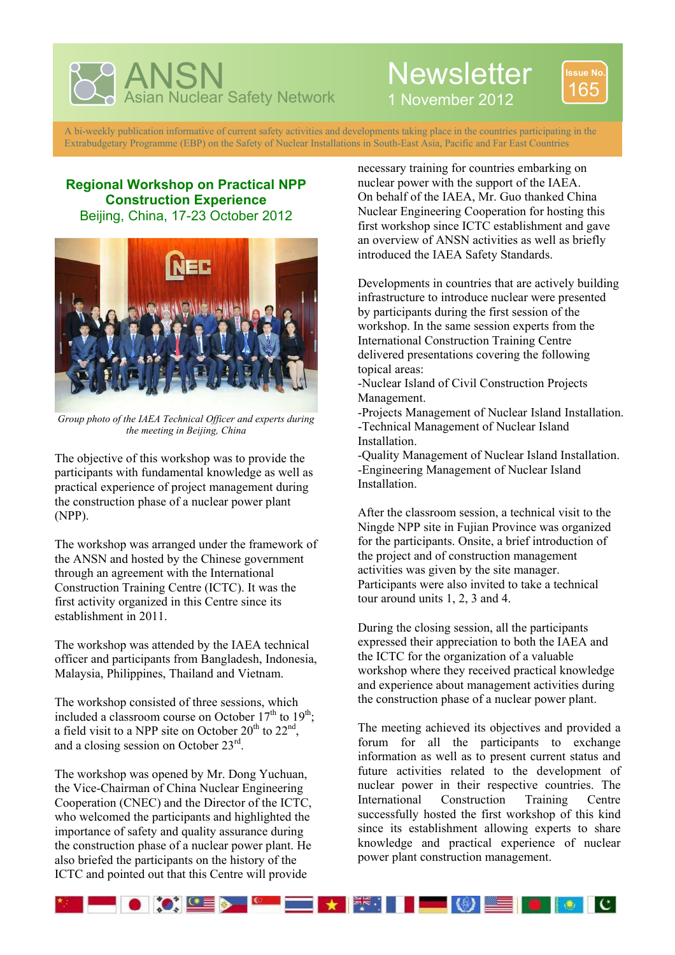

## **Newsletter**



1 November 2012

A bi-weekly publication informative of current safety activities and developments taking place in the countries participating in the Extrabudgetary Programme (EBP) on the Safety of Nuclear Installations in South-East Asia, Pacific and Far East Countries

## **Regional Workshop on Practical NPP Construction Experience**  Beijing, China, 17-23 October 2012



*Group photo of the IAEA Technical Officer and experts during the meeting in Beijing, China* 

The objective of this workshop was to provide the participants with fundamental knowledge as well as practical experience of project management during the construction phase of a nuclear power plant (NPP).

The workshop was arranged under the framework of the ANSN and hosted by the Chinese government through an agreement with the International Construction Training Centre (ICTC). It was the first activity organized in this Centre since its establishment in 2011.

The workshop was attended by the IAEA technical officer and participants from Bangladesh, Indonesia, Malaysia, Philippines, Thailand and Vietnam.

The workshop consisted of three sessions, which included a classroom course on October  $17<sup>th</sup>$  to  $19<sup>th</sup>$ ; a field visit to a NPP site on October  $20^{th}$  to  $22^{nd}$ , and a closing session on October  $23^{\text{rd}}$ .

The workshop was opened by Mr. Dong Yuchuan, the Vice-Chairman of China Nuclear Engineering Cooperation (CNEC) and the Director of the ICTC, who welcomed the participants and highlighted the importance of safety and quality assurance during the construction phase of a nuclear power plant. He also briefed the participants on the history of the ICTC and pointed out that this Centre will provide

necessary training for countries embarking on nuclear power with the support of the IAEA. On behalf of the IAEA, Mr. Guo thanked China Nuclear Engineering Cooperation for hosting this first workshop since ICTC establishment and gave an overview of ANSN activities as well as briefly introduced the IAEA Safety Standards.

Developments in countries that are actively building infrastructure to introduce nuclear were presented by participants during the first session of the workshop. In the same session experts from the International Construction Training Centre delivered presentations covering the following topical areas:

-Nuclear Island of Civil Construction Projects Management.

-Projects Management of Nuclear Island Installation. -Technical Management of Nuclear Island **Installation** 

-Quality Management of Nuclear Island Installation. -Engineering Management of Nuclear Island Installation.

After the classroom session, a technical visit to the Ningde NPP site in Fujian Province was organized for the participants. Onsite, a brief introduction of the project and of construction management activities was given by the site manager. Participants were also invited to take a technical tour around units 1, 2, 3 and 4.

During the closing session, all the participants expressed their appreciation to both the IAEA and the ICTC for the organization of a valuable workshop where they received practical knowledge and experience about management activities during the construction phase of a nuclear power plant.

The meeting achieved its objectives and provided a forum for all the participants to exchange information as well as to present current status and future activities related to the development of nuclear power in their respective countries. The International Construction Training Centre successfully hosted the first workshop of this kind since its establishment allowing experts to share knowledge and practical experience of nuclear power plant construction management.